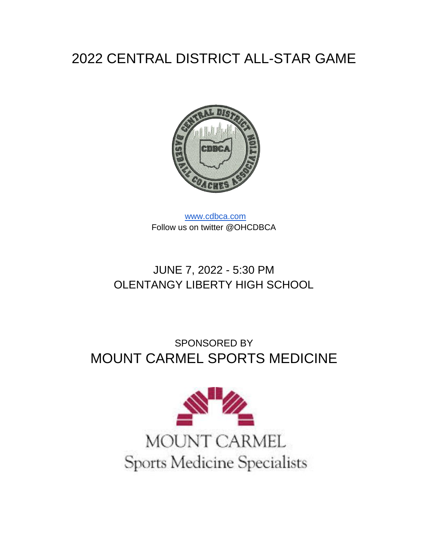# 2022 CENTRAL DISTRICT ALL-STAR GAME



[www.cdbca.com](http://www.cdbca.com/) Follow us on twitter @OHCDBCA

### JUNE 7, 2022 - 5:30 PM OLENTANGY LIBERTY HIGH SCHOOL

# SPONSORED BY MOUNT CARMEL SPORTS MEDICINE

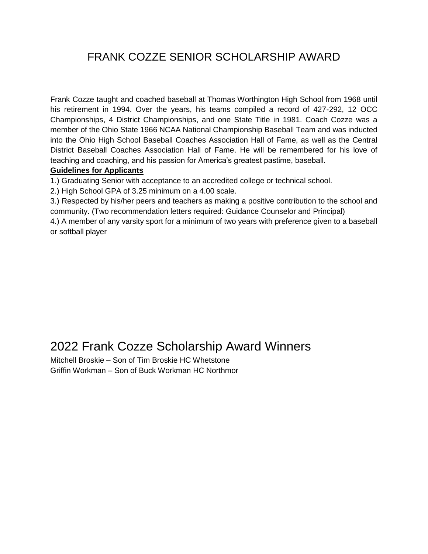### FRANK COZZE SENIOR SCHOLARSHIP AWARD

Frank Cozze taught and coached baseball at Thomas Worthington High School from 1968 until his retirement in 1994. Over the years, his teams compiled a record of 427-292, 12 OCC Championships, 4 District Championships, and one State Title in 1981. Coach Cozze was a member of the Ohio State 1966 NCAA National Championship Baseball Team and was inducted into the Ohio High School Baseball Coaches Association Hall of Fame, as well as the Central District Baseball Coaches Association Hall of Fame. He will be remembered for his love of teaching and coaching, and his passion for America's greatest pastime, baseball.

#### **Guidelines for Applicants**

1.) Graduating Senior with acceptance to an accredited college or technical school.

2.) High School GPA of 3.25 minimum on a 4.00 scale.

3.) Respected by his/her peers and teachers as making a positive contribution to the school and community. (Two recommendation letters required: Guidance Counselor and Principal)

4.) A member of any varsity sport for a minimum of two years with preference given to a baseball or softball player

### 2022 Frank Cozze Scholarship Award Winners

Mitchell Broskie – Son of Tim Broskie HC Whetstone Griffin Workman – Son of Buck Workman HC Northmor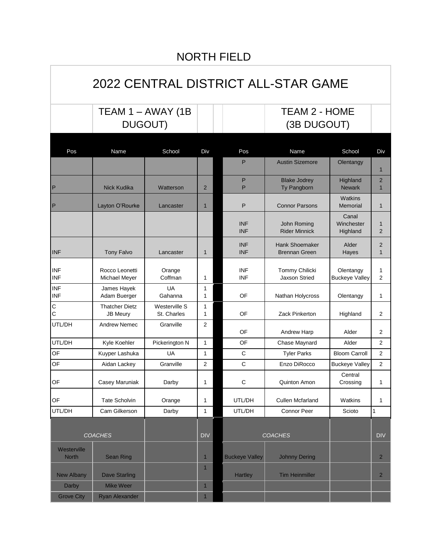### NORTH FIELD

# 2022 CENTRAL DISTRICT ALL-STAR GAME

TEAM 1 – AWAY (1B DUGOUT)

### TEAM 2 - HOME (3B DUGOUT)

| Pos                         | Name                                     | School                       | Div                     | Pos                      | Name                                   | School                             | Div                            |
|-----------------------------|------------------------------------------|------------------------------|-------------------------|--------------------------|----------------------------------------|------------------------------------|--------------------------------|
|                             |                                          |                              |                         | P                        | <b>Austin Sizemore</b>                 | Olentangy                          | $\mathbf{1}$                   |
|                             |                                          |                              |                         | P                        | <b>Blake Jodrey</b>                    | Highland                           | $\overline{2}$                 |
| P                           | <b>Nick Kudika</b>                       | Watterson                    | $\overline{2}$          | P                        | Ty Pangborn                            | <b>Newark</b>                      | $\mathbf{1}$                   |
| P                           | Layton O'Rourke                          | Lancaster                    | $\mathbf{1}$            | P                        | <b>Connor Parsons</b>                  | Watkins<br>Memorial                | $\mathbf{1}$                   |
|                             |                                          |                              |                         | <b>INF</b><br><b>INF</b> | John Roming<br><b>Rider Minnick</b>    | Canal<br>Winchester<br>Highland    | $\mathbf{1}$<br>$\overline{2}$ |
| <b>INF</b>                  | <b>Tony Falvo</b>                        | Lancaster                    | $\mathbf{1}$            | <b>INF</b><br><b>INF</b> | Hank Shoemaker<br><b>Brennan Green</b> | Alder<br>Hayes                     | $\overline{2}$<br>$\mathbf{1}$ |
| <b>INF</b><br><b>INF</b>    | Rocco Leonetti<br>Michael Meyer          | Orange<br>Coffman            | 1                       | <b>INF</b><br><b>INF</b> | Tommy Chilicki<br><b>Jaxson Stried</b> | Olentangy<br><b>Buckeye Valley</b> | 1<br>$\overline{2}$            |
| INF<br><b>INF</b>           | James Hayek<br>Adam Buerger              | UA<br>Gahanna                | 1<br>$\mathbf{1}$       | OF                       | Nathan Holycross                       | Olentangy                          | 1                              |
| $\mathsf C$<br>$\mathsf{C}$ | <b>Thatcher Dietz</b><br><b>JB Meury</b> | Westerville S<br>St. Charles | 1<br>1                  | OF                       | Zack Pinkerton                         | Highland                           | $\overline{2}$                 |
| UTL/DH                      | <b>Andrew Nemec</b>                      | Granville                    | 2                       | OF                       | <b>Andrew Harp</b>                     | Alder                              | $\overline{2}$                 |
| UTL/DH                      | Kyle Koehler                             | Pickerington N               | 1                       | OF                       | Chase Maynard                          | Alder                              | 2                              |
| OF                          | Kuyper Lashuka                           | UA                           | 1                       | С                        | <b>Tyler Parks</b>                     | <b>Bloom Carroll</b>               | $\overline{2}$                 |
| OF                          | Aidan Lackey                             | Granville                    | 2                       | C                        | Enzo DiRocco                           | <b>Buckeye Valley</b>              | $\overline{2}$                 |
| OF                          | Casey Maruniak                           | Darby                        | 1                       | С                        | Quinton Amon                           | Central<br>Crossing                | 1                              |
| OF                          | <b>Tate Scholvin</b>                     | Orange                       | 1                       | UTL/DH                   | <b>Cullen Mcfarland</b>                | Watkins                            | 1                              |
| UTL/DH                      | Cam Gilkerson                            | Darby                        | 1                       | UTL/DH                   | <b>Connor Peer</b>                     | Scioto                             | 1                              |
|                             |                                          |                              |                         |                          |                                        |                                    |                                |
| <b>COACHES</b>              |                                          |                              | <b>DIV</b>              |                          | <b>COACHES</b>                         |                                    | <b>DIV</b>                     |
| Westerville<br><b>North</b> | <b>Sean Ring</b>                         |                              | $\mathbf 1$             | <b>Buckeye Valley</b>    | <b>Johnny Dering</b>                   |                                    | $\overline{2}$                 |
| <b>New Albany</b>           | <b>Dave Starling</b>                     |                              | $\overline{1}$          | Hartley                  | <b>Tim Heinmiller</b>                  |                                    | $\overline{2}$                 |
| Darby                       | <b>Mike Weer</b>                         |                              | $\mathbf 1$             |                          |                                        |                                    |                                |
| <b>Grove City</b>           | <b>Ryan Alexander</b>                    |                              | $\overline{\mathbf{1}}$ |                          |                                        |                                    |                                |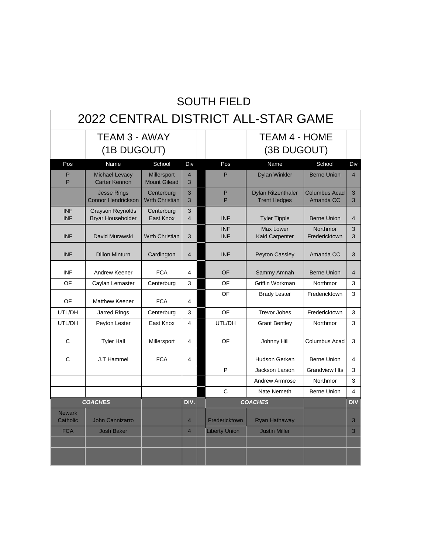### SOUTH FIELD

| 2022 CENTRAL DISTRICT ALL-STAR GAME |                                                     |                                     |                         |  |                          |                                                  |                                   |                   |
|-------------------------------------|-----------------------------------------------------|-------------------------------------|-------------------------|--|--------------------------|--------------------------------------------------|-----------------------------------|-------------------|
|                                     | <b>TEAM 3 - AWAY</b>                                |                                     |                         |  |                          | <b>TEAM 4 - HOME</b>                             |                                   |                   |
|                                     | (1B DUGOUT)                                         |                                     |                         |  |                          | (3B DUGOUT)                                      |                                   |                   |
| Pos                                 | Name                                                | School                              | Div                     |  | Pos                      | Name                                             | School                            | Div               |
| P<br>P                              | <b>Michael Levacy</b><br><b>Carter Kennon</b>       | Millersport<br><b>Mount Gilead</b>  | $\overline{4}$<br>3     |  | P                        | <b>Dylan Winkler</b>                             | <b>Berne Union</b>                | $\overline{4}$    |
|                                     | <b>Jesse Rings</b><br><b>Connor Hendrickson</b>     | Centerburg<br><b>Wrth Christian</b> | 3<br>3                  |  | P<br>P                   | <b>Dylan Ritzenthaler</b><br><b>Trent Hedges</b> | <b>Columbus Acad</b><br>Amanda CC | $\mathbf{3}$<br>3 |
| <b>INF</b><br><b>INF</b>            | <b>Grayson Reynolds</b><br><b>Bryar Householder</b> | Centerburg<br>East Knox             | 3<br>$\overline{4}$     |  | <b>INF</b>               | <b>Tyler Tipple</b>                              | <b>Berne Union</b>                | $\overline{4}$    |
| <b>INF</b>                          | David Murawski                                      | <b>Wrth Christian</b>               | 3                       |  | <b>INF</b><br><b>INF</b> | Max Lower<br><b>Kaid Carpenter</b>               | Northmor<br>Fredericktown         | 3<br>3            |
| <b>INF</b>                          | <b>Dillon Minturn</b>                               | Cardington                          | $\overline{4}$          |  | <b>INF</b>               | Peyton Cassley                                   | Amanda CC                         | 3                 |
| INF                                 | Andrew Keener                                       | <b>FCA</b>                          | $\overline{\mathbf{A}}$ |  | OF                       | Sammy Amnah                                      | <b>Berne Union</b>                | $\overline{4}$    |
| OF                                  | Caylan Lemaster                                     | Centerburg                          | 3                       |  | OF                       | Griffin Workman                                  | Northmor                          | 3                 |
| OF                                  | <b>Matthew Keener</b>                               | <b>FCA</b>                          | 4                       |  | OF                       | <b>Brady Lester</b>                              | Fredericktown                     | 3                 |
| UTL/DH                              | <b>Jarred Rings</b>                                 | Centerburg                          | 3                       |  | OF                       | <b>Trevor Jobes</b>                              | Fredericktown                     | 3                 |
| UTL/DH                              | Peyton Lester                                       | East Knox                           | $\overline{4}$          |  | UTL/DH                   | <b>Grant Bentley</b>                             | Northmor                          | 3                 |
| C                                   | <b>Tyler Hall</b>                                   | Millersport                         | 4                       |  | OF                       | Johnny Hill                                      | Columbus Acad                     | 3                 |
| C                                   | J.T Hammel                                          | <b>FCA</b>                          | 4                       |  |                          | Hudson Gerken                                    | <b>Berne Union</b>                | 4                 |
|                                     |                                                     |                                     |                         |  | P                        | Jackson Larson                                   | <b>Grandview Hts</b>              | 3                 |
|                                     |                                                     |                                     |                         |  |                          | Andrew Armrose                                   | Northmor                          | 3                 |
|                                     |                                                     |                                     |                         |  | C                        | Nate Nemeth                                      | <b>Berne Union</b>                | 4                 |
| <b>COACHES</b>                      |                                                     |                                     | DIV.                    |  |                          | <b>COACHES</b>                                   |                                   | <b>DIV</b>        |
| <b>Newark</b><br>Catholic           | <b>John Cannizarro</b>                              |                                     | $\overline{4}$          |  | Fredericktown            | <b>Ryan Hathaway</b>                             |                                   | 3                 |
| <b>FCA</b>                          | <b>Josh Baker</b>                                   |                                     | $\overline{4}$          |  | <b>Liberty Union</b>     | <b>Justin Miller</b>                             |                                   | 3                 |
|                                     |                                                     |                                     |                         |  |                          |                                                  |                                   |                   |
|                                     |                                                     |                                     |                         |  |                          |                                                  |                                   |                   |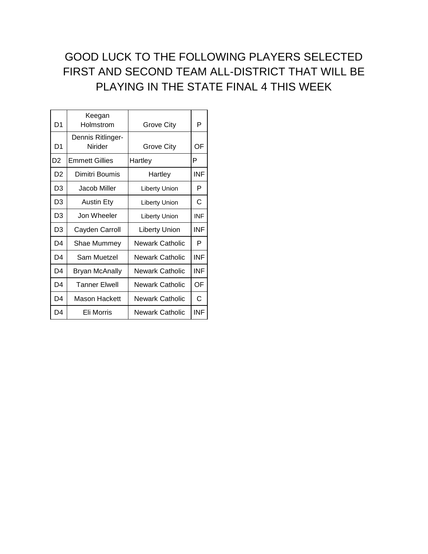### GOOD LUCK TO THE FOLLOWING PLAYERS SELECTED FIRST AND SECOND TEAM ALL-DISTRICT THAT WILL BE PLAYING IN THE STATE FINAL 4 THIS WEEK

| D <sub>1</sub> | Keegan<br>Holmstrom          | Grove City             | P          |
|----------------|------------------------------|------------------------|------------|
| D1             | Dennis Ritlinger-<br>Nirider | Grove City             | OF         |
| D <sub>2</sub> | <b>Emmett Gillies</b>        | Hartley                | P          |
| D <sub>2</sub> | Dimitri Boumis               | Hartley                | <b>INF</b> |
| D3             | Jacob Miller                 | Liberty Union          | P          |
| D3             | <b>Austin Ety</b>            | Liberty Union          | С          |
| D3             | Jon Wheeler                  | Liberty Union          | <b>INF</b> |
| D3             | Cayden Carroll               | <b>Liberty Union</b>   | INF        |
| D4             | Shae Mummey                  | Newark Catholic        | P          |
| D <sub>4</sub> | Sam Muetzel                  | <b>Newark Catholic</b> | INF        |
| D4             | <b>Bryan McAnally</b>        | Newark Catholic        | INF        |
| D4             | <b>Tanner Elwell</b>         | Newark Catholic        | OF         |
| D4             | Mason Hackett                | Newark Catholic        | С          |
| D4             | Eli Morris                   | Newark Catholic        | INF        |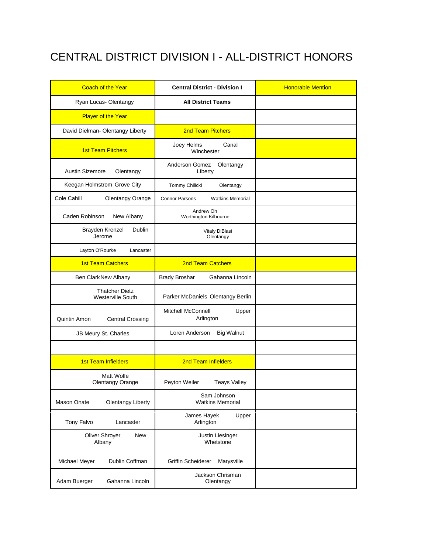## CENTRAL DISTRICT DIVISION I - ALL-DISTRICT HONORS

| <b>Coach of the Year</b>                   | <b>Central District - Division I</b>             | <b>Honorable Mention</b> |
|--------------------------------------------|--------------------------------------------------|--------------------------|
| Ryan Lucas-Olentangy                       | <b>All District Teams</b>                        |                          |
| <b>Player of the Year</b>                  |                                                  |                          |
| David Dielman- Olentangy Liberty           | <b>2nd Team Pitchers</b>                         |                          |
| <b>1st Team Pitchers</b>                   | Joey Helms<br>Canal<br>Winchester                |                          |
| <b>Austin Sizemore</b><br>Olentangy        | Anderson Gomez<br>Olentangy<br>Liberty           |                          |
| Keegan Holmstrom Grove City                | Tommy Chilicki<br>Olentangy                      |                          |
| Cole Cahill<br>Olentangy Orange            | <b>Connor Parsons</b><br><b>Watkins Memorial</b> |                          |
| Caden Robinson<br>New Albany               | Andrew Oh<br>Worthington Kilbourne               |                          |
| Brayden Krenzel<br>Dublin<br>Jerome        | Vitaly DiBlasi<br>Olentangy                      |                          |
| Layton O'Rourke<br>Lancaster               |                                                  |                          |
| <b>1st Team Catchers</b>                   | 2nd Team Catchers                                |                          |
| Ben Clark New Albany                       | Gahanna Lincoln<br><b>Brady Broshar</b>          |                          |
| <b>Thatcher Dietz</b><br>Westerville South | Parker McDaniels Olentangy Berlin                |                          |
| Quintin Amon<br><b>Central Crossing</b>    | <b>Mitchell McConnell</b><br>Upper<br>Arlington  |                          |
| JB Meury St. Charles                       | Loren Anderson<br><b>Big Walnut</b>              |                          |
|                                            |                                                  |                          |
| <b>1st Team Infielders</b>                 | 2nd Team Infielders                              |                          |
| Matt Wolfe<br><b>Olentangy Orange</b>      | Peyton Weiler<br><b>Teays Valley</b>             |                          |
| Mason Onate<br><b>Olentangy Liberty</b>    | Sam Johnson<br><b>Watkins Memorial</b>           |                          |
| Tony Falvo<br>Lancaster                    | James Hayek<br>Upper<br>Arlington                |                          |
| Oliver Shrover<br>New<br>Albany            | Justin Liesinger<br>Whetstone                    |                          |
| Dublin Coffman<br>Michael Meyer            | <b>Griffin Scheiderer</b><br>Marysville          |                          |
| Adam Buerger<br>Gahanna Lincoln            | Jackson Chrisman<br>Olentangy                    |                          |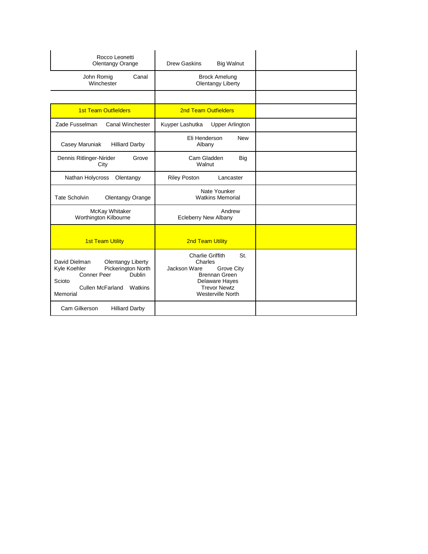| Rocco Leonetti<br>Olentangy Orange                                                                                                                                                 | Drew Gaskins<br><b>Big Walnut</b>                                                                                                                      |  |
|------------------------------------------------------------------------------------------------------------------------------------------------------------------------------------|--------------------------------------------------------------------------------------------------------------------------------------------------------|--|
| Canal<br>John Romig<br>Winchester                                                                                                                                                  | <b>Brock Amelung</b><br>Olentangy Liberty                                                                                                              |  |
|                                                                                                                                                                                    |                                                                                                                                                        |  |
| <b>1st Team Outfielders</b>                                                                                                                                                        | <b>2nd Team Outfielders</b>                                                                                                                            |  |
| Zade Fusselman<br>Canal Winchester                                                                                                                                                 | Kuyper Lashutka<br><b>Upper Arlington</b>                                                                                                              |  |
| Casey Maruniak<br><b>Hilliard Darby</b>                                                                                                                                            | Eli Henderson<br><b>New</b><br>Albany                                                                                                                  |  |
| Dennis Ritlinger-Nirider<br>Grove<br>City                                                                                                                                          | Cam Gladden<br>Big<br>Walnut                                                                                                                           |  |
| Nathan Holycross<br>Olentangy                                                                                                                                                      | <b>Riley Poston</b><br>Lancaster                                                                                                                       |  |
| <b>Tate Scholvin</b><br>Olentangy Orange                                                                                                                                           | Nate Younker<br><b>Watkins Memorial</b>                                                                                                                |  |
| McKay Whitaker<br>Worthington Kilbourne                                                                                                                                            | Andrew<br><b>Ecleberry New Albany</b>                                                                                                                  |  |
| <b>1st Team Utility</b>                                                                                                                                                            | <b>2nd Team Utility</b>                                                                                                                                |  |
| David Dielman<br><b>Olentangy Liberty</b><br>Pickerington North<br>Kyle Koehler<br><b>Conner Peer</b><br><b>Dublin</b><br>Scioto<br><b>Cullen McFarland</b><br>Watkins<br>Memorial | Charlie Griffith<br>St.<br>Charles<br>Jackson Ware<br>Grove City<br>Brennan Green<br>Delaware Hayes<br><b>Trevor Newtz</b><br><b>Westerville North</b> |  |
| Cam Gilkerson<br><b>Hilliard Darby</b>                                                                                                                                             |                                                                                                                                                        |  |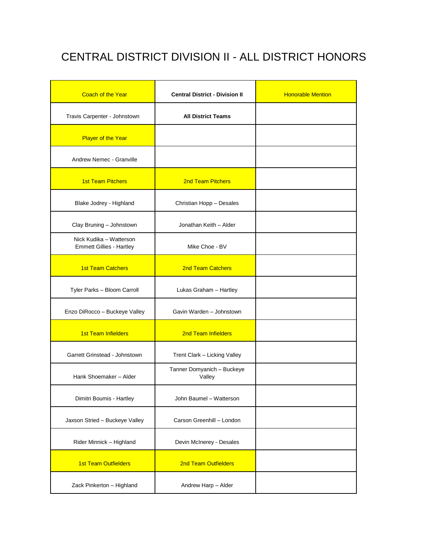### CENTRAL DISTRICT DIVISION II - ALL DISTRICT HONORS

| <b>Coach of the Year</b>                                   | <b>Central District - Division II</b> | <b>Honorable Mention</b> |
|------------------------------------------------------------|---------------------------------------|--------------------------|
| Travis Carpenter - Johnstown                               | <b>All District Teams</b>             |                          |
| <b>Player of the Year</b>                                  |                                       |                          |
| Andrew Nemec - Granville                                   |                                       |                          |
| <b>1st Team Pitchers</b>                                   | <b>2nd Team Pitchers</b>              |                          |
| Blake Jodrey - Highland                                    | Christian Hopp - Desales              |                          |
| Clay Bruning - Johnstown                                   | Jonathan Keith - Alder                |                          |
| Nick Kudika - Watterson<br><b>Emmett Gillies - Hartley</b> | Mike Choe - BV                        |                          |
| <b>1st Team Catchers</b>                                   | <b>2nd Team Catchers</b>              |                          |
| Tyler Parks - Bloom Carroll                                | Lukas Graham - Hartley                |                          |
| Enzo DiRocco - Buckeye Valley                              | Gavin Warden - Johnstown              |                          |
| <b>1st Team Infielders</b>                                 | 2nd Team Infielders                   |                          |
| Garrett Grinstead - Johnstown                              | Trent Clark - Licking Valley          |                          |
| Hank Shoemaker - Alder                                     | Tanner Domyanich - Buckeye<br>Valley  |                          |
| Dimitri Boumis - Hartley                                   | John Baumel - Watterson               |                          |
| Jaxson Stried - Buckeye Valley                             | Carson Greenhill - London             |                          |
| Rider Minnick - Highland                                   | Devin McInerey - Desales              |                          |
| <b>1st Team Outfielders</b>                                | <b>2nd Team Outfielders</b>           |                          |
| Zack Pinkerton - Highland                                  | Andrew Harp - Alder                   |                          |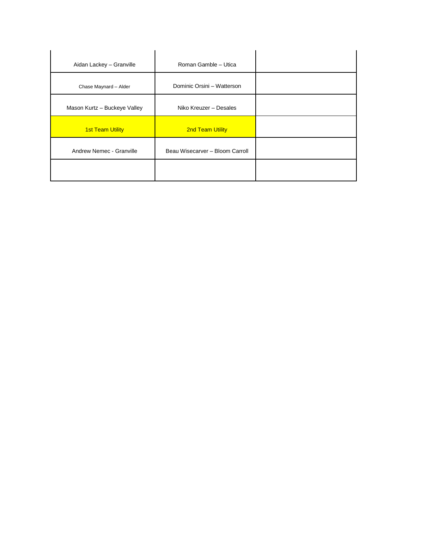| Aidan Lackey - Granville     | Roman Gamble - Utica            |  |
|------------------------------|---------------------------------|--|
| Chase Maynard - Alder        | Dominic Orsini - Watterson      |  |
| Mason Kurtz - Buckeye Valley | Niko Kreuzer - Desales          |  |
| <b>1st Team Utility</b>      | <b>2nd Team Utility</b>         |  |
| Andrew Nemec - Granville     | Beau Wisecarver - Bloom Carroll |  |
|                              |                                 |  |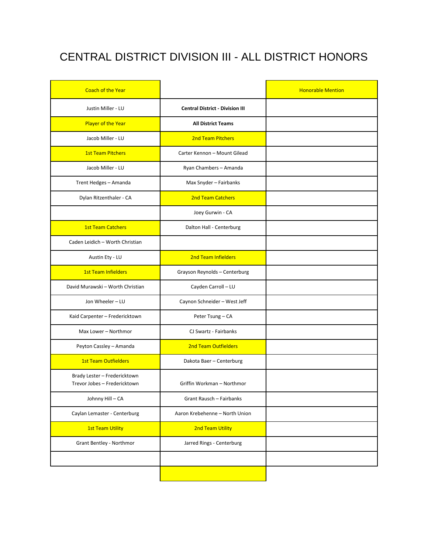## CENTRAL DISTRICT DIVISION III - ALL DISTRICT HONORS

| <b>Coach of the Year</b>                                     |                                        | <b>Honorable Mention</b> |
|--------------------------------------------------------------|----------------------------------------|--------------------------|
| Justin Miller - LU                                           | <b>Central District - Division III</b> |                          |
| Player of the Year                                           | <b>All District Teams</b>              |                          |
| Jacob Miller - LU                                            | <b>2nd Team Pitchers</b>               |                          |
| <b>1st Team Pitchers</b>                                     | Carter Kennon - Mount Gilead           |                          |
| Jacob Miller - LU                                            | Ryan Chambers - Amanda                 |                          |
| Trent Hedges - Amanda                                        | Max Snyder - Fairbanks                 |                          |
| Dylan Ritzenthaler - CA                                      | <b>2nd Team Catchers</b>               |                          |
|                                                              | Joey Gurwin - CA                       |                          |
| <b>1st Team Catchers</b>                                     | Dalton Hall - Centerburg               |                          |
| Caden Leidich - Worth Christian                              |                                        |                          |
| Austin Ety - LU                                              | <b>2nd Team Infielders</b>             |                          |
| <b>1st Team Infielders</b>                                   | Grayson Reynolds - Centerburg          |                          |
| David Murawski - Worth Christian                             | Cayden Carroll - LU                    |                          |
| Jon Wheeler - LU                                             | Caynon Schneider - West Jeff           |                          |
| Kaid Carpenter - Fredericktown                               | Peter Tsung - CA                       |                          |
| Max Lower - Northmor                                         | CJ Swartz - Fairbanks                  |                          |
| Peyton Cassley - Amanda                                      | <b>2nd Team Outfielders</b>            |                          |
| <b>1st Team Outfielders</b>                                  | Dakota Baer - Centerburg               |                          |
| Brady Lester - Fredericktown<br>Trevor Jobes - Fredericktown | Griffin Workman - Northmor             |                          |
| Johnny Hill - CA                                             | Grant Rausch - Fairbanks               |                          |
| Caylan Lemaster - Centerburg                                 | Aaron Krebehenne - North Union         |                          |
| <b>1st Team Utility</b>                                      | 2nd Team Utility                       |                          |
| Grant Bentley - Northmor                                     | Jarred Rings - Centerburg              |                          |
|                                                              |                                        |                          |
|                                                              |                                        |                          |